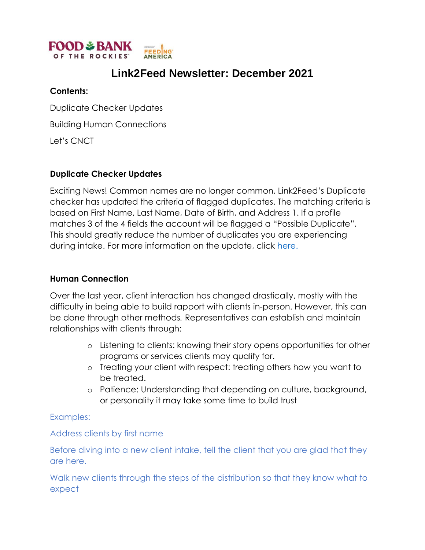

# **Link2Feed Newsletter: December 2021**

#### **Contents:**

Duplicate Checker Updates

Building Human Connections

Let's CNCT

### **Duplicate Checker Updates**

Exciting News! Common names are no longer common. Link2Feed's Duplicate checker has updated the criteria of flagged duplicates. The matching criteria is based on First Name, Last Name, Date of Birth, and Address 1. If a profile matches 3 of the 4 fields the account will be flagged a "Possible Duplicate". This should greatly reduce the number of duplicates you are experiencing during intake. For more information on the update, click [here.](https://link2feed.atlassian.net/wiki/spaces/UserManual/pages/3126099992/Link2Feed+Quick+Release+Rollout+Updated+Duplicate+Matching+Criteria)

#### **Human Connection**

Over the last year, client interaction has changed drastically, mostly with the difficulty in being able to build rapport with clients in-person. However, this can be done through other methods*.* Representatives can establish and maintain relationships with clients through:

- o Listening to clients: knowing their story opens opportunities for other programs or services clients may qualify for.
- o Treating your client with respect: treating others how you want to be treated.
- o Patience: Understanding that depending on culture, background, or personality it may take some time to build trust

Examples:

#### Address clients by first name

Before diving into a new client intake, tell the client that you are glad that they are here.

Walk new clients through the steps of the distribution so that they know what to expect